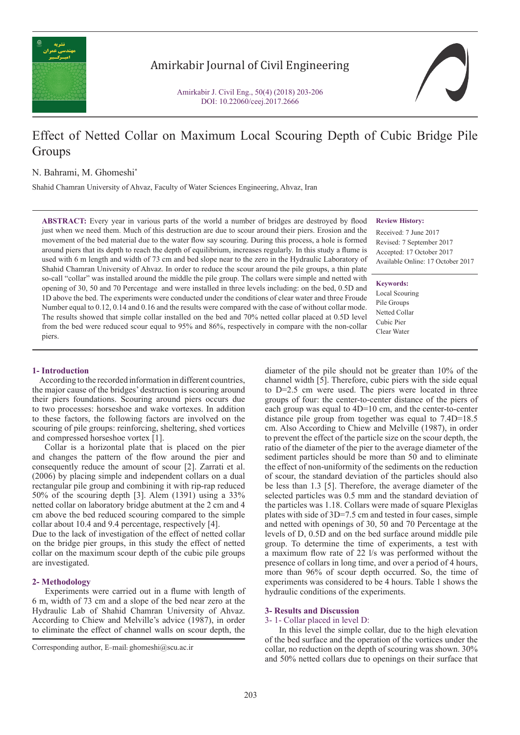

# Amirkabir Journal of Civil Engineering

Amirkabir J. Civil Eng., 50(4) (2018) 203-206 DOI: 10.22060/ceej.2017.2666

# Effect of Netted Collar on Maximum Local Scouring Depth of Cubic Bridge Pile Groups

N. Bahrami, M. Ghomeshi\*

Shahid Chamran University of Ahvaz, Faculty of Water Sciences Engineering, Ahvaz, Iran

**ABSTRACT:** Every year in various parts of the world a number of bridges are destroyed by flood just when we need them. Much of this destruction are due to scour around their piers. Erosion and the movement of the bed material due to the water flow say scouring. During this process, a hole is formed around piers that its depth to reach the depth of equilibrium, increases regularly. In this study a flume is used with 6 m length and width of 73 cm and bed slope near to the zero in the Hydraulic Laboratory of Shahid Chamran University of Ahvaz. In order to reduce the scour around the pile groups, a thin plate so-call "collar" was installed around the middle the pile group. The collars were simple and netted with opening of 30, 50 and 70 Percentage and were installed in three levels including: on the bed, 0.5D and 1D above the bed. The experiments were conducted under the conditions of clear water and three Froude Number equal to 0.12, 0.14 and 0.16 and the results were compared with the case of without collar mode. The results showed that simple collar installed on the bed and 70% netted collar placed at 0.5D level from the bed were reduced scour equal to 95% and 86%, respectively in compare with the non-collar piers.

#### **Review History:**

Received: 7 June 2017 Revised: 7 September 2017 Accepted: 17 October 2017 Available Online: 17 October 2017

**Keywords:**

Local Scouring Pile Groups Netted Collar Cubic Pier Clear Water

# **1- Introduction**

 According to the recorded information in different countries, the major cause of the bridges' destruction is scouring around their piers foundations. Scouring around piers occurs due to two processes: horseshoe and wake vortexes. In addition to these factors, the following factors are involved on the scouring of pile groups: reinforcing, sheltering, shed vortices and compressed horseshoe vortex [1].

 Collar is a horizontal plate that is placed on the pier and changes the pattern of the flow around the pier and consequently reduce the amount of scour [2]. Zarrati et al. (2006) by placing simple and independent collars on a dual rectangular pile group and combining it with rip-rap reduced 50% of the scouring depth [3]. Alem (1391) using a 33% netted collar on laboratory bridge abutment at the 2 cm and 4 cm above the bed reduced scouring compared to the simple collar about 10.4 and 9.4 percentage, respectively [4].

Due to the lack of investigation of the effect of netted collar on the bridge pier groups, in this study the effect of netted collar on the maximum scour depth of the cubic pile groups are investigated.

#### **2- Methodology**

 Experiments were carried out in a flume with length of 6 m, width of 73 cm and a slope of the bed near zero at the Hydraulic Lab of Shahid Chamran University of Ahvaz. According to Chiew and Melville's advice (1987), in order to eliminate the effect of channel walls on scour depth, the

diameter of the pile should not be greater than 10% of the channel width [5]. Therefore, cubic piers with the side equal to D=2.5 cm were used. The piers were located in three groups of four: the center-to-center distance of the piers of each group was equal to 4D=10 cm, and the center-to-center distance pile group from together was equal to 7.4D=18.5 cm. Also According to Chiew and Melville (1987), in order to prevent the effect of the particle size on the scour depth, the ratio of the diameter of the pier to the average diameter of the sediment particles should be more than 50 and to eliminate the effect of non-uniformity of the sediments on the reduction of scour, the standard deviation of the particles should also be less than 1.3 [5]. Therefore, the average diameter of the selected particles was 0.5 mm and the standard deviation of the particles was 1.18. Collars were made of square Plexiglas plates with side of 3D=7.5 cm and tested in four cases, simple and netted with openings of 30, 50 and 70 Percentage at the levels of D, 0.5D and on the bed surface around middle pile group. To determine the time of experiments, a test with a maximum flow rate of 22 l/s was performed without the presence of collars in long time, and over a period of 4 hours, more than 96% of scour depth occurred. So, the time of experiments was considered to be 4 hours. Table 1 shows the hydraulic conditions of the experiments.

## **3- Results and Discussion**

#### 3- 1- Collar placed in level D:

 In this level the simple collar, due to the high elevation of the bed surface and the operation of the vortices under the collar, no reduction on the depth of scouring was shown. 30% and 50% netted collars due to openings on their surface that

Corresponding author, E-mail: ghomeshi@scu.ac.ir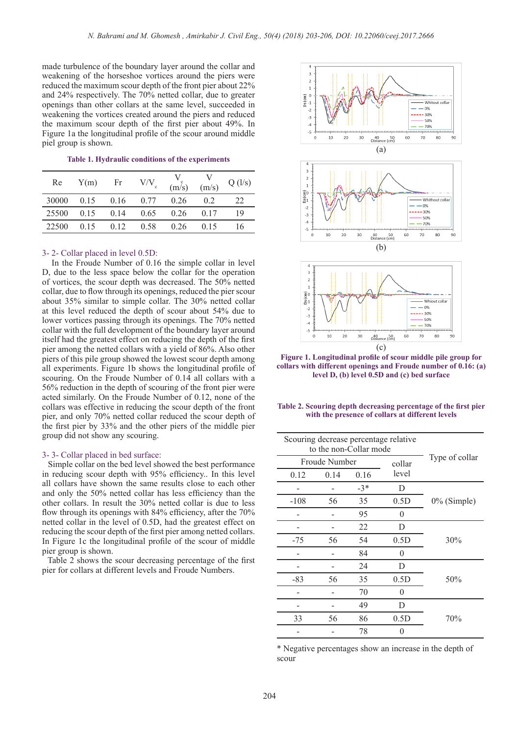made turbulence of the boundary layer around the collar and weakening of the horseshoe vortices around the piers were reduced the maximum scour depth of the front pier about 22% and 24% respectively. The 70% netted collar, due to greater openings than other collars at the same level, succeeded in weakening the vortices created around the piers and reduced the maximum scour depth of the first pier about 49%. In Figure 1a the longitudinal profile of the scour around middle piel group is shown.

#### **Table 1. Hydraulic conditions of the experiments**

| Re    | Y(m) | Fr   | V/V  | (m/s) | (m/s) | Q(1/s) |
|-------|------|------|------|-------|-------|--------|
| 30000 | 0.15 | 0.16 | 0.77 | 0.26  | 02    | 22     |
| 25500 | 0.15 | 0.14 | 0.65 | 0.26  | 0.17  | 19     |
| 22500 | 0.15 | 012  | 0.58 | 0.26  | 0.15  | 16     |

#### 3- 2- Collar placed in level 0.5D:

 In the Froude Number of 0.16 the simple collar in level D, due to the less space below the collar for the operation of vortices, the scour depth was decreased. The 50% netted collar, due to flow through its openings, reduced the pier scour about 35% similar to simple collar. The 30% netted collar at this level reduced the depth of scour about 54% due to lower vortices passing through its openings. The 70% netted collar with the full development of the boundary layer around itself had the greatest effect on reducing the depth of the first pier among the netted collars with a yield of 86%. Also other piers of this pile group showed the lowest scour depth among all experiments. Figure 1b shows the longitudinal profile of scouring. On the Froude Number of 0.14 all collars with a 56% reduction in the depth of scouring of the front pier were acted similarly. On the Froude Number of 0.12, none of the collars was effective in reducing the scour depth of the front pier, and only 70% netted collar reduced the scour depth of the first pier by 33% and the other piers of the middle pier group did not show any scouring.

#### 3- 3- Collar placed in bed surface:

 Simple collar on the bed level showed the best performance in reducing scour depth with 95% efficiency.. In this level all collars have shown the same results close to each other and only the 50% netted collar has less efficiency than the other collars. In result the 30% netted collar is due to less flow through its openings with 84% efficiency, after the 70% netted collar in the level of 0.5D, had the greatest effect on reducing the scour depth of the first pier among netted collars. In Figure 1c the longitudinal profile of the scour of middle pier group is shown.

 Table 2 shows the scour decreasing percentage of the first pier for collars at different levels and Froude Numbers.



**Figure 1. Longitudinal profile of scour middle pile group for collars with different openings and Froude number of 0.16: (a) level D, (b) level 0.5D and (c) bed surface**

| Table 2. Scouring depth decreasing percentage of the first pier |
|-----------------------------------------------------------------|
| with the presence of collars at different levels                |

| Scouring decrease percentage relative<br>to the non-Collar mode |      |       |        |                |  |
|-----------------------------------------------------------------|------|-------|--------|----------------|--|
| Froude Number                                                   |      |       | collar | Type of collar |  |
| 0.12                                                            | 0.14 | 0.16  | level  |                |  |
|                                                                 |      | $-3*$ | D      |                |  |
| $-108$                                                          | 56   | 35    | 0.5D   | $0\%$ (Simple) |  |
|                                                                 |      | 95    | 0      |                |  |
|                                                                 |      | 22    | D      |                |  |
| $-75$                                                           | 56   | 54    | 0.5D   | 30%            |  |
|                                                                 |      | 84    | 0      |                |  |
|                                                                 |      | 24    | D      |                |  |
| -83                                                             | 56   | 35    | 0.5D   | 50%            |  |
|                                                                 |      | 70    | 0      |                |  |
|                                                                 |      | 49    | D      |                |  |
| 33                                                              | 56   | 86    | 0.5D   | 70%            |  |
|                                                                 |      | 78    | 0      |                |  |

\* Negative percentages show an increase in the depth of scour